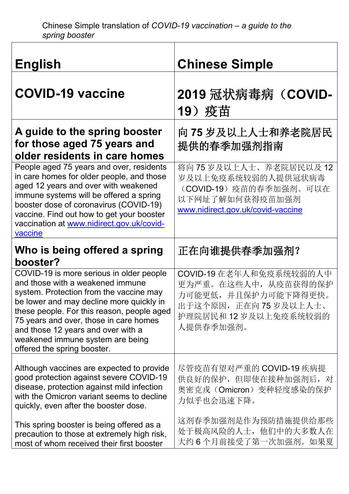| <b>English</b>                                                                                                                                                                                                                                                                                                                                                       | <b>Chinese Simple</b>                                                                                                                |
|----------------------------------------------------------------------------------------------------------------------------------------------------------------------------------------------------------------------------------------------------------------------------------------------------------------------------------------------------------------------|--------------------------------------------------------------------------------------------------------------------------------------|
| <b>COVID-19 vaccine</b>                                                                                                                                                                                                                                                                                                                                              | 2019 冠状病毒病 (COVID-<br>19) 疫苗                                                                                                         |
| A guide to the spring booster<br>for those aged 75 years and<br>older residents in care homes                                                                                                                                                                                                                                                                        | 向 75 岁及以上人士和养老院居民<br>提供的春季加强剂指南                                                                                                      |
| People aged 75 years and over, residents<br>in care homes for older people, and those<br>aged 12 years and over with weakened<br>immune systems will be offered a spring<br>booster dose of coronavirus (COVID-19)<br>vaccine. Find out how to get your booster<br>vaccination at www.nidirect.gov.uk/covid-<br>vaccine                                              | 将向75岁及以上人士、养老院居民以及12<br>岁及以上免疫系统较弱的人提供冠状病毒<br>(COVID-19)疫苗的春季加强剂。可以在<br>以下网址了解如何获得疫苗加强剂<br>www.nidirect.gov.uk/covid-vaccine         |
| Who is being offered a spring<br>booster?                                                                                                                                                                                                                                                                                                                            | 正在向谁提供春季加强剂?                                                                                                                         |
| COVID-19 is more serious in older people<br>and those with a weakened immune<br>system. Protection from the vaccine may<br>be lower and may decline more quickly in<br>these people. For this reason, people aged<br>75 years and over, those in care homes<br>and those 12 years and over with a<br>weakened immune system are being<br>offered the spring booster. | COVID-19 在老年人和免疫系统较弱的人中<br>更为严重。在这些人中, 从疫苗获得的保护<br>力可能更低,并且保护力可能下降得更快。<br>出于这个原因, 正在向 75 岁及以上人士、<br>护理院居民和12岁及以上免疫系统较弱的<br>人提供春季加强剂。 |
| Although vaccines are expected to provide<br>good protection against severe COVID-19<br>disease, protection against mild infection<br>with the Omicron variant seems to decline<br>quickly, even after the booster dose.                                                                                                                                             | 尽管疫苗有望对严重的 COVID-19 疾病提<br>供良好的保护,但即使在接种加强剂后,对<br>奥密克戎(Omicron)变种轻度感染的保护<br>力似乎也会迅速下降。                                               |
| This spring booster is being offered as a<br>precaution to those at extremely high risk,<br>most of whom received their first booster                                                                                                                                                                                                                                | 这剂春季加强剂是作为预防措施提供给那些<br>处于极高风险的人士, 他们中的大多数人在<br>大约6个月前接受了第一次加强剂。如果夏                                                                   |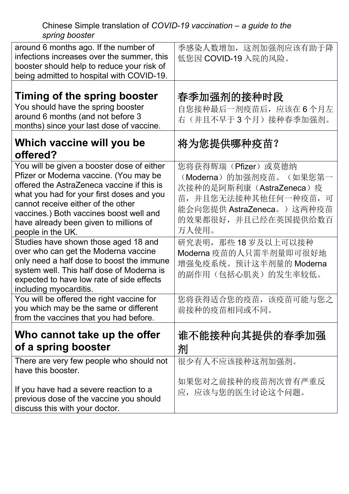Chinese Simple translation of *COVID-19 vaccination – a guide to the spring booster*

| around 6 months ago. If the number of<br>infections increases over the summer, this<br>booster should help to reduce your risk of<br>being admitted to hospital with COVID-19.                                                                                                                                                  | 季感染人数增加, 这剂加强剂应该有助于降<br>低您因 COVID-19 入院的风险。                                                                                                                      |
|---------------------------------------------------------------------------------------------------------------------------------------------------------------------------------------------------------------------------------------------------------------------------------------------------------------------------------|------------------------------------------------------------------------------------------------------------------------------------------------------------------|
| Timing of the spring booster<br>You should have the spring booster<br>around 6 months (and not before 3<br>months) since your last dose of vaccine.                                                                                                                                                                             | 春季加强剂的接种时段<br>自您接种最后一剂疫苗后, 应该在6个月左<br>右(并且不早于3个月)接种春季加强剂。                                                                                                        |
| Which vaccine will you be<br>offered?                                                                                                                                                                                                                                                                                           | 将为您提供哪种疫苗?                                                                                                                                                       |
| You will be given a booster dose of either<br>Pfizer or Moderna vaccine. (You may be<br>offered the AstraZeneca vaccine if this is<br>what you had for your first doses and you<br>cannot receive either of the other<br>vaccines.) Both vaccines boost well and<br>have already been given to millions of<br>people in the UK. | 您将获得辉瑞(Pfizer)或莫德纳<br>(Moderna) 的加强剂疫苗。(如果您第一<br>次接种的是阿斯利康(AstraZeneca)疫<br>苗, 并且您无法接种其他任何一种疫苗, 可<br>能会向您提供 AstraZeneca。) 这两种疫苗<br>的效果都很好, 并且已经在英国提供给数百<br>万人使用。 |
| Studies have shown those aged 18 and<br>over who can get the Moderna vaccine<br>only need a half dose to boost the immune<br>system well. This half dose of Moderna is<br>expected to have low rate of side effects<br>including myocarditis.                                                                                   | 研究表明, 那些18岁及以上可以接种<br>Moderna 疫苗的人只需半剂量即可很好地<br>增强免疫系统。预计这半剂量的 Moderna<br>的副作用(包括心肌炎)的发生率较低。                                                                     |
| You will be offered the right vaccine for<br>you which may be the same or different<br>from the vaccines that you had before.                                                                                                                                                                                                   | 您将获得适合您的疫苗, 该疫苗可能与您之<br>前接种的疫苗相同或不同。                                                                                                                             |
| Who cannot take up the offer<br>of a spring booster                                                                                                                                                                                                                                                                             | 谁不能接种向其提供的春季加强<br>剂                                                                                                                                              |
| There are very few people who should not<br>have this booster.                                                                                                                                                                                                                                                                  | 很少有人不应该接种这剂加强剂。                                                                                                                                                  |
| If you have had a severe reaction to a<br>previous dose of the vaccine you should<br>discuss this with your doctor.                                                                                                                                                                                                             | 如果您对之前接种的疫苗剂次曾有严重反<br>应, 应该与您的医生讨论这个问题。                                                                                                                          |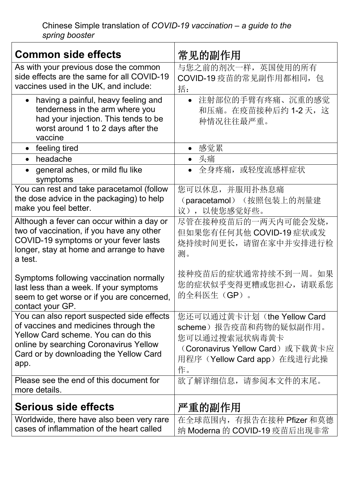| <b>Common side effects</b>                                                                                                                                                                                             | 常见的副作用                                                                                                                                         |
|------------------------------------------------------------------------------------------------------------------------------------------------------------------------------------------------------------------------|------------------------------------------------------------------------------------------------------------------------------------------------|
| As with your previous dose the common<br>side effects are the same for all COVID-19<br>vaccines used in the UK, and include:                                                                                           | 与您之前的剂次一样,英国使用的所有<br>COVID-19 疫苗的常见副作用都相同, 包<br>括:                                                                                             |
| having a painful, heavy feeling and<br>$\bullet$<br>tenderness in the arm where you<br>had your injection. This tends to be<br>worst around 1 to 2 days after the<br>vaccine                                           | 注射部位的手臂有疼痛、沉重的感觉<br>$\bullet$<br>和压痛。在疫苗接种后约 1-2 天, 这<br>种情况往往最严重。                                                                             |
| • feeling tired                                                                                                                                                                                                        | • 感觉累                                                                                                                                          |
| headache<br>$\bullet$                                                                                                                                                                                                  | • 头痛                                                                                                                                           |
| general aches, or mild flu like<br>symptoms                                                                                                                                                                            | ● 全身疼痛,或轻度流感样症状                                                                                                                                |
| You can rest and take paracetamol (follow<br>the dose advice in the packaging) to help<br>make you feel better.                                                                                                        | 您可以休息,并服用扑热息痛<br>(paracetamol) (按照包装上的剂量建<br>议),以使您感觉好些。                                                                                       |
| Although a fever can occur within a day or<br>two of vaccination, if you have any other<br>COVID-19 symptoms or your fever lasts<br>longer, stay at home and arrange to have<br>a test.                                | 尽管在接种疫苗后的一两天内可能会发烧,<br>但如果您有任何其他 COVID-19 症状或发<br>烧持续时间更长, 请留在家中并安排进行检<br>测。                                                                   |
| Symptoms following vaccination normally<br>last less than a week. If your symptoms<br>seem to get worse or if you are concerned,<br>contact your GP.                                                                   | 接种疫苗后的症状通常持续不到一周。如果<br>您的症状似乎变得更糟或您担心,请联系您<br>的全科医生(GP)。                                                                                       |
| You can also report suspected side effects<br>of vaccines and medicines through the<br>Yellow Card scheme. You can do this<br>online by searching Coronavirus Yellow<br>Card or by downloading the Yellow Card<br>app. | 您还可以通过黄卡计划 (the Yellow Card<br>scheme) 报告疫苗和药物的疑似副作用。<br>您可以通过搜索冠状病毒黄卡<br>(Coronavirus Yellow Card)或下载黄卡应<br>用程序(Yellow Card app) 在线进行此操<br>作。 |
| Please see the end of this document for<br>more details.                                                                                                                                                               | 欲了解详细信息, 请参阅本文件的末尾。                                                                                                                            |
| <b>Serious side effects</b>                                                                                                                                                                                            | 严重的副作用                                                                                                                                         |
| Worldwide, there have also been very rare<br>cases of inflammation of the heart called                                                                                                                                 | 在全球范围内, 有报告在接种 Pfizer 和莫德<br>纳 Moderna 的 COVID-19 疫苗后出现非常                                                                                      |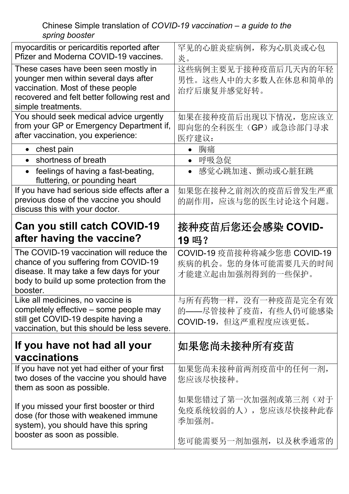## Chinese Simple translation of *COVID-19 vaccination – a guide to the spring booster*

| myocarditis or pericarditis reported after<br>Pfizer and Moderna COVID-19 vaccines.                                                                                                      | 罕见的心脏炎症病例, 称为心肌炎或心包<br>炎。                                               |
|------------------------------------------------------------------------------------------------------------------------------------------------------------------------------------------|-------------------------------------------------------------------------|
| These cases have been seen mostly in<br>younger men within several days after<br>vaccination. Most of these people<br>recovered and felt better following rest and<br>simple treatments. | 这些病例主要见于接种疫苗后几天内的年轻<br>男性。这些人中的大多数人在休息和简单的<br>治疗后康复并感觉好转。               |
| You should seek medical advice urgently<br>from your GP or Emergency Department if,<br>after vaccination, you experience:                                                                | 如果在接种疫苗后出现以下情况, 您应该立<br>即向您的全科医生 (GP) 或急诊部门寻求<br>医疗建议:                  |
| • chest pain                                                                                                                                                                             | 胸痛                                                                      |
| shortness of breath<br>$\bullet$                                                                                                                                                         | 呼吸急促<br>$\bullet$                                                       |
| feelings of having a fast-beating,<br>$\bullet$<br>fluttering, or pounding heart                                                                                                         | 感觉心跳加速、颤动或心脏狂跳                                                          |
| If you have had serious side effects after a<br>previous dose of the vaccine you should<br>discuss this with your doctor.                                                                | 如果您在接种之前剂次的疫苗后曾发生严重<br>的副作用,应该与您的医生讨论这个问题。                              |
| <b>Can you still catch COVID-19</b>                                                                                                                                                      | 接种疫苗后您还会感染 COVID-                                                       |
| after having the vaccine?                                                                                                                                                                | 19吗?                                                                    |
|                                                                                                                                                                                          |                                                                         |
| The COVID-19 vaccination will reduce the<br>chance of you suffering from COVID-19<br>disease. It may take a few days for your<br>body to build up some protection from the<br>booster.   | COVID-19 疫苗接种将减少您患 COVID-19<br>疾病的机会。您的身体可能需要几天的时间<br>才能建立起由加强剂得到的一些保护。 |
| Like all medicines, no vaccine is<br>completely effective – some people may<br>still get COVID-19 despite having a<br>vaccination, but this should be less severe.                       | 与所有药物一样, 没有一种疫苗是完全有效<br>的——尽管接种了疫苗, 有些人仍可能感染<br>COVID-19, 但这严重程度应该更低。   |
| If you have not had all your                                                                                                                                                             | 如果您尚未接种所有疫苗                                                             |
| vaccinations<br>If you have not yet had either of your first<br>two doses of the vaccine you should have<br>them as soon as possible.                                                    | 如果您尚未接种前两剂疫苗中的任何一剂,<br>您应该尽快接种。                                         |
| If you missed your first booster or third<br>dose (for those with weakened immune<br>system), you should have this spring<br>booster as soon as possible.                                | 如果您错过了第一次加强剂或第三剂(对于<br>免疫系统较弱的人), 您应该尽快接种此春<br>季加强剂。                    |